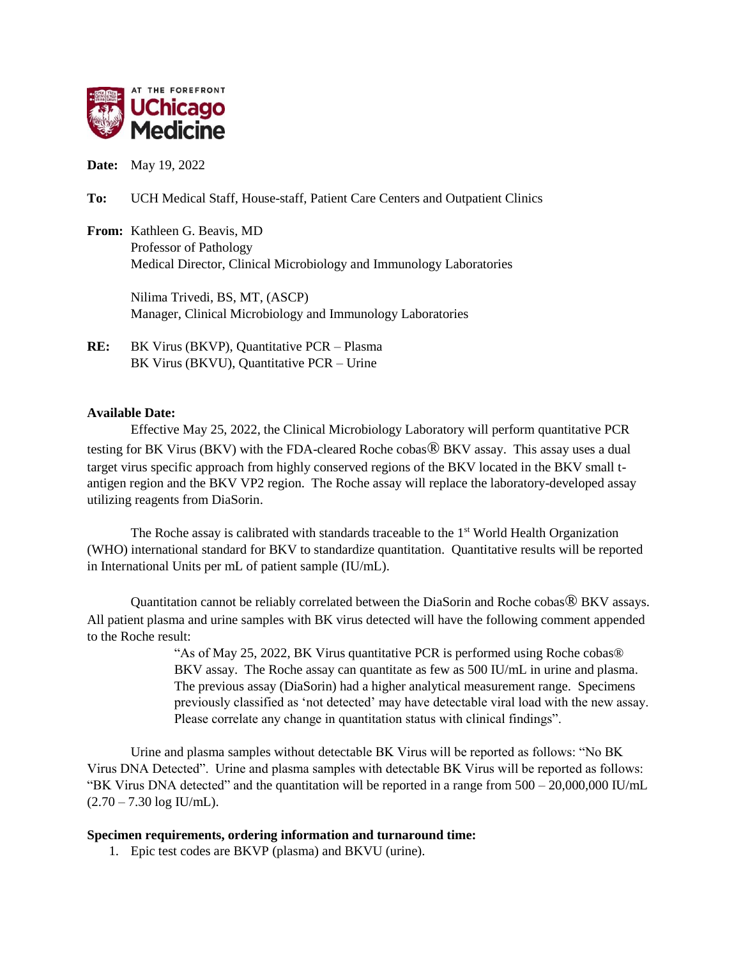

**Date:** May 19, 2022

**To:** UCH Medical Staff, House-staff, Patient Care Centers and Outpatient Clinics

**From:** Kathleen G. Beavis, MD Professor of Pathology Medical Director, Clinical Microbiology and Immunology Laboratories

> Nilima Trivedi, BS, MT, (ASCP) Manager, Clinical Microbiology and Immunology Laboratories

**RE:** BK Virus (BKVP), Quantitative PCR – Plasma BK Virus (BKVU), Quantitative PCR – Urine

## **Available Date:**

Effective May 25, 2022, the Clinical Microbiology Laboratory will perform quantitative PCR testing for BK Virus (BKV) with the FDA-cleared Roche cobas® BKV assay. This assay uses a dual target virus specific approach from highly conserved regions of the BKV located in the BKV small tantigen region and the BKV VP2 region. The Roche assay will replace the laboratory-developed assay utilizing reagents from DiaSorin.

The Roche assay is calibrated with standards traceable to the  $1<sup>st</sup>$  World Health Organization (WHO) international standard for BKV to standardize quantitation. Quantitative results will be reported in International Units per mL of patient sample (IU/mL).

Quantitation cannot be reliably correlated between the DiaSorin and Roche cobas® BKV assays. All patient plasma and urine samples with BK virus detected will have the following comment appended to the Roche result:

> "As of May 25, 2022, BK Virus quantitative PCR is performed using Roche cobas® BKV assay. The Roche assay can quantitate as few as 500 IU/mL in urine and plasma. The previous assay (DiaSorin) had a higher analytical measurement range. Specimens previously classified as 'not detected' may have detectable viral load with the new assay. Please correlate any change in quantitation status with clinical findings".

Urine and plasma samples without detectable BK Virus will be reported as follows: "No BK Virus DNA Detected". Urine and plasma samples with detectable BK Virus will be reported as follows: "BK Virus DNA detected" and the quantitation will be reported in a range from 500 – 20,000,000 IU/mL  $(2.70 - 7.30 \log \text{IU/mL}).$ 

## **Specimen requirements, ordering information and turnaround time:**

1. Epic test codes are BKVP (plasma) and BKVU (urine).